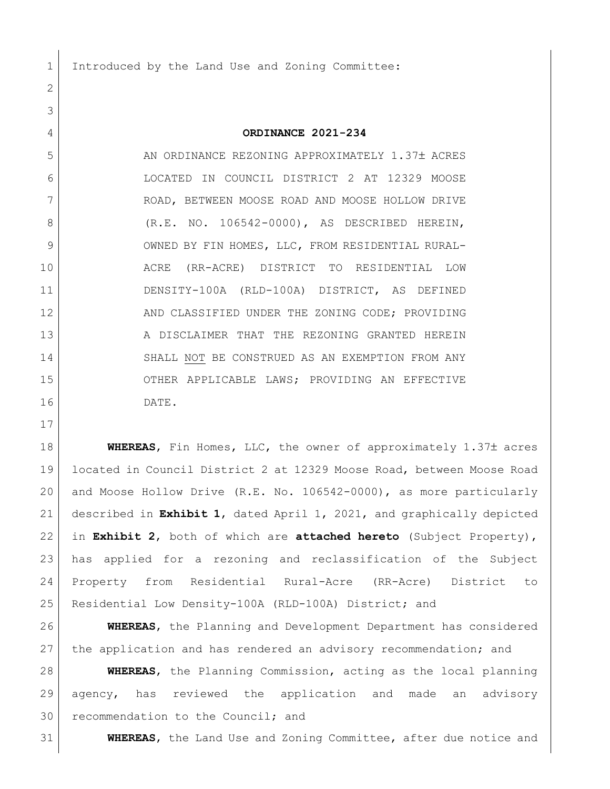1 Introduced by the Land Use and Zoning Committee:

## **ORDINANCE 2021-234**

5 AN ORDINANCE REZONING APPROXIMATELY 1.37± ACRES LOCATED IN COUNCIL DISTRICT 2 AT 12329 MOOSE ROAD, BETWEEN MOOSE ROAD AND MOOSE HOLLOW DRIVE 8 (R.E. NO. 106542-0000), AS DESCRIBED HEREIN, 9 OWNED BY FIN HOMES, LLC, FROM RESIDENTIAL RURAL- ACRE (RR-ACRE) DISTRICT TO RESIDENTIAL LOW DENSITY-100A (RLD-100A) DISTRICT, AS DEFINED 12 AND CLASSIFIED UNDER THE ZONING CODE; PROVIDING 13 A DISCLAIMER THAT THE REZONING GRANTED HEREIN 14 SHALL NOT BE CONSTRUED AS AN EXEMPTION FROM ANY OTHER APPLICABLE LAWS; PROVIDING AN EFFECTIVE DATE.

**WHEREAS**, Fin Homes, LLC, the owner of approximately 1.37± acres located in Council District 2 at 12329 Moose Road, between Moose Road and Moose Hollow Drive (R.E. No. 106542-0000), as more particularly described in **Exhibit 1**, dated April 1, 2021, and graphically depicted in **Exhibit 2**, both of which are **attached hereto** (Subject Property), has applied for a rezoning and reclassification of the Subject Property from Residential Rural-Acre (RR-Acre) District to Residential Low Density-100A (RLD-100A) District; and

 **WHEREAS**, the Planning and Development Department has considered 27 the application and has rendered an advisory recommendation; and

 **WHEREAS**, the Planning Commission, acting as the local planning agency, has reviewed the application and made an advisory 30 recommendation to the Council; and

**WHEREAS**, the Land Use and Zoning Committee, after due notice and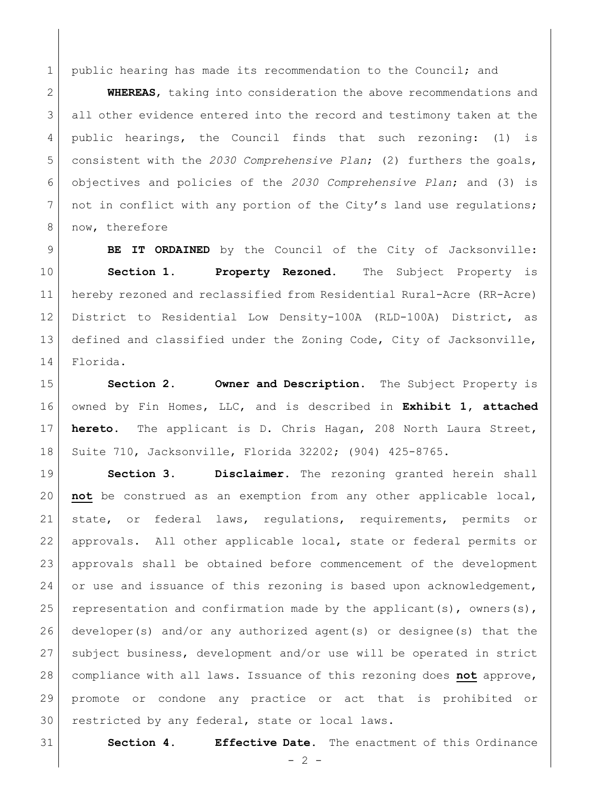1 | public hearing has made its recommendation to the Council; and

 **WHEREAS**, taking into consideration the above recommendations and 3 all other evidence entered into the record and testimony taken at the public hearings, the Council finds that such rezoning: (1) is consistent with the *2030 Comprehensive Plan*; (2) furthers the goals, objectives and policies of the *2030 Comprehensive Plan*; and (3) is 7 | not in conflict with any portion of the City's land use regulations; 8 now, therefore

 **BE IT ORDAINED** by the Council of the City of Jacksonville: **Section 1. Property Rezoned.** The Subject Property is hereby rezoned and reclassified from Residential Rural-Acre (RR-Acre) District to Residential Low Density-100A (RLD-100A) District, as defined and classified under the Zoning Code, City of Jacksonville, Florida.

 **Section 2. Owner and Description.** The Subject Property is owned by Fin Homes, LLC, and is described in **Exhibit 1, attached hereto.** The applicant is D. Chris Hagan, 208 North Laura Street, Suite 710, Jacksonville, Florida 32202; (904) 425-8765.

 **Section 3. Disclaimer.** The rezoning granted herein shall **not** be construed as an exemption from any other applicable local, state, or federal laws, regulations, requirements, permits or approvals. All other applicable local, state or federal permits or approvals shall be obtained before commencement of the development 24 or use and issuance of this rezoning is based upon acknowledgement, 25 representation and confirmation made by the applicant(s), owners(s), developer(s) and/or any authorized agent(s) or designee(s) that the subject business, development and/or use will be operated in strict compliance with all laws. Issuance of this rezoning does **not** approve, promote or condone any practice or act that is prohibited or restricted by any federal, state or local laws.

**Section 4. Effective Date.** The enactment of this Ordinance

 $- 2 -$